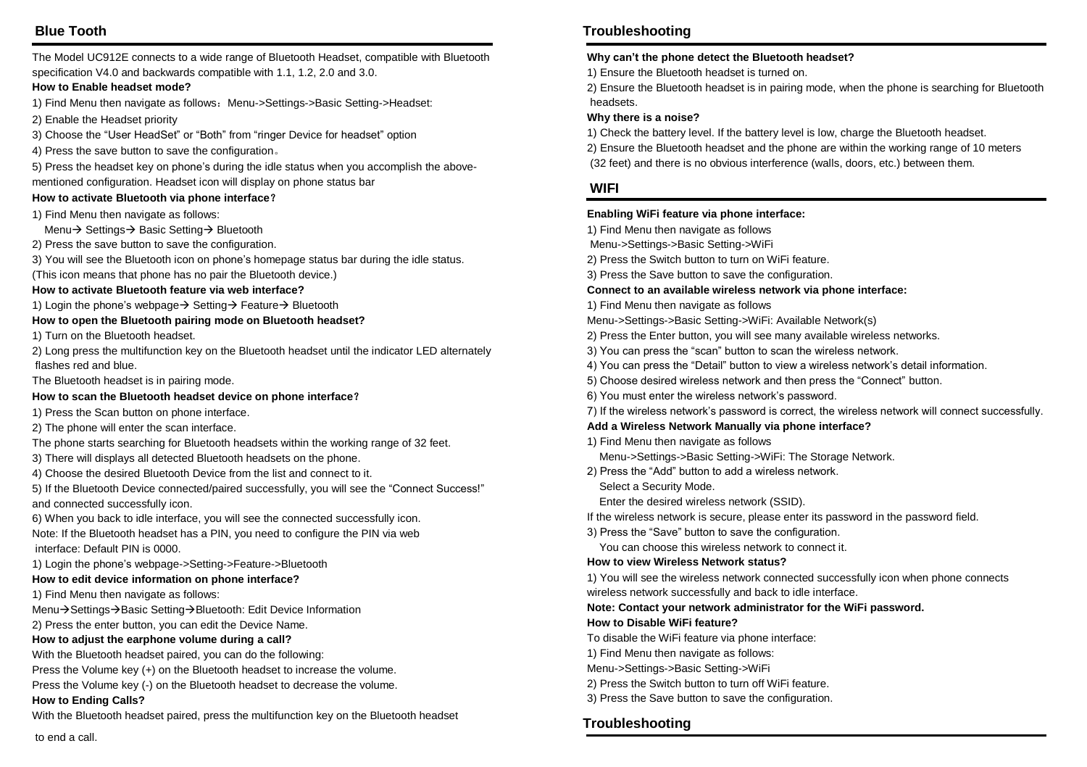# **Blue Tooth**

The Model UC912E connects to a wide range of Bluetooth Headset, compatible with Bluetooth specification V4.0 and backwards compatible with 1.1, 1.2, 2.0 and 3.0.

#### **How to Enable headset mode?**

1) Find Menu then navigate as follows: Menu->Settings->Basic Setting->Headset:

2) Enable the Headset priority

3) Choose the "User HeadSet" or "Both" from "ringer Device for headset" option

4) Press the save button to save the configuration。

5) Press the headset key on phone's during the idle status when you accomplish the abovementioned configuration. Headset icon will display on phone status bar

#### **How to activate Bluetooth via phone interface**?

1) Find Menu then navigate as follows:

Menu→ Settings→ Basic Setting → Bluetooth

- 2) Press the save button to save the configuration.
- 3) You will see the Bluetooth icon on phone's homepage status bar during the idle status.

(This icon means that phone has no pair the Bluetooth device.)

#### **How to activate Bluetooth feature via web interface?**

1) Login the phone's webpage  $\rightarrow$  Setting  $\rightarrow$  Feature  $\rightarrow$  Bluetooth

#### **How to open the Bluetooth pairing mode on Bluetooth headset?**

1) Turn on the Bluetooth headset.

2) Long press the multifunction key on the Bluetooth headset until the indicator LED alternately flashes red and blue.

The Bluetooth headset is in pairing mode.

#### **How to scan the Bluetooth headset device on phone interface**?

1) Press the Scan button on phone interface.

2) The phone will enter the scan interface.

- The phone starts searching for Bluetooth headsets within the working range of 32 feet.
- 3) There will displays all detected Bluetooth headsets on the phone.
- 4) Choose the desired Bluetooth Device from the list and connect to it.

5) If the Bluetooth Device connected/paired successfully, you will see the "Connect Success!" and connected successfully icon.

6) When you back to idle interface, you will see the connected successfully icon. Note: If the Bluetooth headset has a PIN, you need to configure the PIN via web interface: Default PIN is 0000.

1) Login the phone's webpage->Setting->Feature->Bluetooth

#### **How to edit device information on phone interface?**

1) Find Menu then navigate as follows:

Menu→Settings→Basic Setting→Bluetooth: Edit Device Information

2) Press the enter button, you can edit the Device Name.

#### **How to adjust the earphone volume during a call?**

With the Bluetooth headset paired, you can do the following:

Press the Volume key (+) on the Bluetooth headset to increase the volume.

Press the Volume key (-) on the Bluetooth headset to decrease the volume.

#### **How to Ending Calls?**

With the Bluetooth headset paired, press the multifunction key on the Bluetooth headset

# **Troubleshooting**

#### **Why can't the phone detect the Bluetooth headset?**

1) Ensure the Bluetooth headset is turned on.

2) Ensure the Bluetooth headset is in pairing mode, when the phone is searching for Bluetooth headsets.

#### **Why there is a noise?**

1) Check the battery level. If the battery level is low, charge the Bluetooth headset.

2) Ensure the Bluetooth headset and the phone are within the working range of 10 meters

(32 feet) and there is no obvious interference (walls, doors, etc.) between them.

### **WIFI**

#### **Enabling WiFi feature via phone interface:**

- 1) Find Menu then navigate as follows
- Menu->Settings->Basic Setting->WiFi
- 2) Press the Switch button to turn on WiFi feature.
- 3) Press the Save button to save the configuration.

#### **Connect to an available wireless network via phone interface:**

- 1) Find Menu then navigate as follows
- Menu->Settings->Basic Setting->WiFi: Available Network(s)
- 2) Press the Enter button, you will see many available wireless networks.
- 3) You can press the "scan" button to scan the wireless network.
- 4) You can press the "Detail" button to view a wireless network's detail information.
- 5) Choose desired wireless network and then press the "Connect" button.
- 6) You must enter the wireless network's password.
- 7) If the wireless network's password is correct, the wireless network will connect successfully.

#### **Add a Wireless Network Manually via phone interface?**

- 1) Find Menu then navigate as follows
	- Menu->Settings->Basic Setting->WiFi: The Storage Network.
- 2) Press the "Add" button to add a wireless network.
	- Select a Security Mode.

Enter the desired wireless network (SSID).

If the wireless network is secure, please enter its password in the password field.

3) Press the "Save" button to save the configuration.

You can choose this wireless network to connect it.

#### **How to view Wireless Network status?**

1) You will see the wireless network connected successfully icon when phone connects wireless network successfully and back to idle interface.

**Note: Contact your network administrator for the WiFi password.**

#### **How to Disable WiFi feature?**

To disable the WiFi feature via phone interface:

1) Find Menu then navigate as follows:

- Menu->Settings->Basic Setting->WiFi
- 2) Press the Switch button to turn off WiFi feature.
- 3) Press the Save button to save the configuration.

## **Troubleshooting**

to end a call.